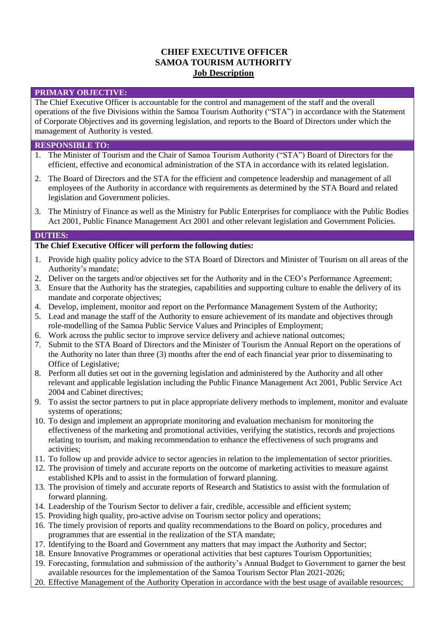# **CHIEF EXECUTIVE OFFICER SAMOA TOURISM AUTHORITY Job Description**

### **PRIMARY OBJECTIVE:**

The Chief Executive Officer is accountable for the control and management of the staff and the overall operations of the five Divisions within the Samoa Tourism Authority ("STA") in accordance with the Statement of Corporate Objectives and its governing legislation, and reports to the Board of Directors under which the management of Authority is vested.

### **RESPONSIBLE TO:**

- 1. The Minister of Tourism and the Chair of Samoa Tourism Authority ("STA") Board of Directors for the efficient, effective and economical administration of the STA in accordance with its related legislation.
- 2. The Board of Directors and the STA for the efficient and competence leadership and management of all employees of the Authority in accordance with requirements as determined by the STA Board and related legislation and Government policies.
- 3. The Ministry of Finance as well as the Ministry for Public Enterprises for compliance with the Public Bodies Act 2001, Public Finance Management Act 2001 and other relevant legislation and Government Policies.

#### **DUTIES:**

### **The Chief Executive Officer will perform the following duties:**

- 1. Provide high quality policy advice to the STA Board of Directors and Minister of Tourism on all areas of the Authority's mandate;
- 2. Deliver on the targets and/or objectives set for the Authority and in the CEO's Performance Agreement;
- 3. Ensure that the Authority has the strategies, capabilities and supporting culture to enable the delivery of its mandate and corporate objectives;
- 4. Develop, implement, monitor and report on the Performance Management System of the Authority;
- 5. Lead and manage the staff of the Authority to ensure achievement of its mandate and objectives through role-modelling of the Samoa Public Service Values and Principles of Employment;
- 6. Work across the public sector to improve service delivery and achieve national outcomes;
- 7. Submit to the STA Board of Directors and the Minister of Tourism the Annual Report on the operations of the Authority no later than three (3) months after the end of each financial year prior to disseminating to Office of Legislative;
- 8. Perform all duties set out in the governing legislation and administered by the Authority and all other relevant and applicable legislation including the Public Finance Management Act 2001, Public Service Act 2004 and Cabinet directives;
- 9. To assist the sector partners to put in place appropriate delivery methods to implement, monitor and evaluate systems of operations;
- 10. To design and implement an appropriate monitoring and evaluation mechanism for monitoring the effectiveness of the marketing and promotional activities, verifying the statistics, records and projections relating to tourism, and making recommendation to enhance the effectiveness of such programs and activities;
- 11. To follow up and provide advice to sector agencies in relation to the implementation of sector priorities.
- 12. The provision of timely and accurate reports on the outcome of marketing activities to measure against established KPIs and to assist in the formulation of forward planning.
- 13. The provision of timely and accurate reports of Research and Statistics to assist with the formulation of forward planning.
- 14. Leadership of the Tourism Sector to deliver a fair, credible, accessible and efficient system;
- 15. Providing high quality, pro-active advise on Tourism sector policy and operations;
- 16. The timely provision of reports and quality recommendations to the Board on policy, procedures and programmes that are essential in the realization of the STA mandate;
- 17. Identifying to the Board and Government any matters that may impact the Authority and Sector;
- 18. Ensure Innovative Programmes or operational activities that best captures Tourism Opportunities;
- 19. Forecasting, formulation and submission of the authority's Annual Budget to Government to garner the best available resources for the implementation of the Samoa Tourism Sector Plan 2021-2026;
- 20. Effective Management of the Authority Operation in accordance with the best usage of available resources;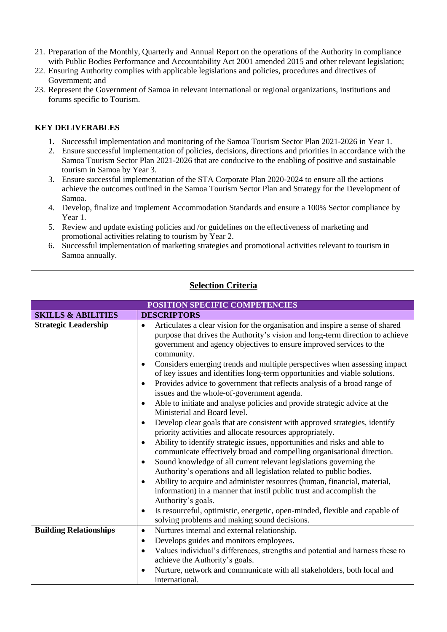- 21. Preparation of the Monthly, Quarterly and Annual Report on the operations of the Authority in compliance with Public Bodies Performance and Accountability Act 2001 amended 2015 and other relevant legislation;
- 22. Ensuring Authority complies with applicable legislations and policies, procedures and directives of Government; and
- 23. Represent the Government of Samoa in relevant international or regional organizations, institutions and forums specific to Tourism.

# **KEY DELIVERABLES**

- 1. Successful implementation and monitoring of the Samoa Tourism Sector Plan 2021-2026 in Year 1.
- 2. Ensure successful implementation of policies, decisions, directions and priorities in accordance with the Samoa Tourism Sector Plan 2021-2026 that are conducive to the enabling of positive and sustainable tourism in Samoa by Year 3.
- 3. Ensure successful implementation of the STA Corporate Plan 2020-2024 to ensure all the actions achieve the outcomes outlined in the Samoa Tourism Sector Plan and Strategy for the Development of Samoa.
- 4. Develop, finalize and implement Accommodation Standards and ensure a 100% Sector compliance by Year 1.
- 5. Review and update existing policies and /or guidelines on the effectiveness of marketing and promotional activities relating to tourism by Year 2.
- 6. Successful implementation of marketing strategies and promotional activities relevant to tourism in Samoa annually.

# **Selection Criteria**

| POSITION SPECIFIC COMPETENCIES |                                                                                                                                                                                                                                                                                                                                                                                                                                                                                                                                                                                                                                                                                                                                                                                                                                                                                                                                                                                                                                                                                                                                                                                                                                                                                                                                                                                                       |
|--------------------------------|-------------------------------------------------------------------------------------------------------------------------------------------------------------------------------------------------------------------------------------------------------------------------------------------------------------------------------------------------------------------------------------------------------------------------------------------------------------------------------------------------------------------------------------------------------------------------------------------------------------------------------------------------------------------------------------------------------------------------------------------------------------------------------------------------------------------------------------------------------------------------------------------------------------------------------------------------------------------------------------------------------------------------------------------------------------------------------------------------------------------------------------------------------------------------------------------------------------------------------------------------------------------------------------------------------------------------------------------------------------------------------------------------------|
| <b>SKILLS &amp; ABILITIES</b>  | <b>DESCRIPTORS</b>                                                                                                                                                                                                                                                                                                                                                                                                                                                                                                                                                                                                                                                                                                                                                                                                                                                                                                                                                                                                                                                                                                                                                                                                                                                                                                                                                                                    |
| <b>Strategic Leadership</b>    | Articulates a clear vision for the organisation and inspire a sense of shared<br>$\bullet$<br>purpose that drives the Authority's vision and long-term direction to achieve<br>government and agency objectives to ensure improved services to the<br>community.<br>Considers emerging trends and multiple perspectives when assessing impact<br>of key issues and identifies long-term opportunities and viable solutions.<br>Provides advice to government that reflects analysis of a broad range of<br>issues and the whole-of-government agenda.<br>Able to initiate and analyse policies and provide strategic advice at the<br>$\bullet$<br>Ministerial and Board level.<br>Develop clear goals that are consistent with approved strategies, identify<br>priority activities and allocate resources appropriately.<br>Ability to identify strategic issues, opportunities and risks and able to<br>communicate effectively broad and compelling organisational direction.<br>Sound knowledge of all current relevant legislations governing the<br>$\bullet$<br>Authority's operations and all legislation related to public bodies.<br>Ability to acquire and administer resources (human, financial, material,<br>information) in a manner that instil public trust and accomplish the<br>Authority's goals.<br>Is resourceful, optimistic, energetic, open-minded, flexible and capable of |
|                                | solving problems and making sound decisions.                                                                                                                                                                                                                                                                                                                                                                                                                                                                                                                                                                                                                                                                                                                                                                                                                                                                                                                                                                                                                                                                                                                                                                                                                                                                                                                                                          |
| <b>Building Relationships</b>  | Nurtures internal and external relationship.<br>$\bullet$                                                                                                                                                                                                                                                                                                                                                                                                                                                                                                                                                                                                                                                                                                                                                                                                                                                                                                                                                                                                                                                                                                                                                                                                                                                                                                                                             |
|                                | Develops guides and monitors employees.<br>$\bullet$                                                                                                                                                                                                                                                                                                                                                                                                                                                                                                                                                                                                                                                                                                                                                                                                                                                                                                                                                                                                                                                                                                                                                                                                                                                                                                                                                  |
|                                | Values individual's differences, strengths and potential and harness these to<br>achieve the Authority's goals.                                                                                                                                                                                                                                                                                                                                                                                                                                                                                                                                                                                                                                                                                                                                                                                                                                                                                                                                                                                                                                                                                                                                                                                                                                                                                       |
|                                | Nurture, network and communicate with all stakeholders, both local and<br>international.                                                                                                                                                                                                                                                                                                                                                                                                                                                                                                                                                                                                                                                                                                                                                                                                                                                                                                                                                                                                                                                                                                                                                                                                                                                                                                              |